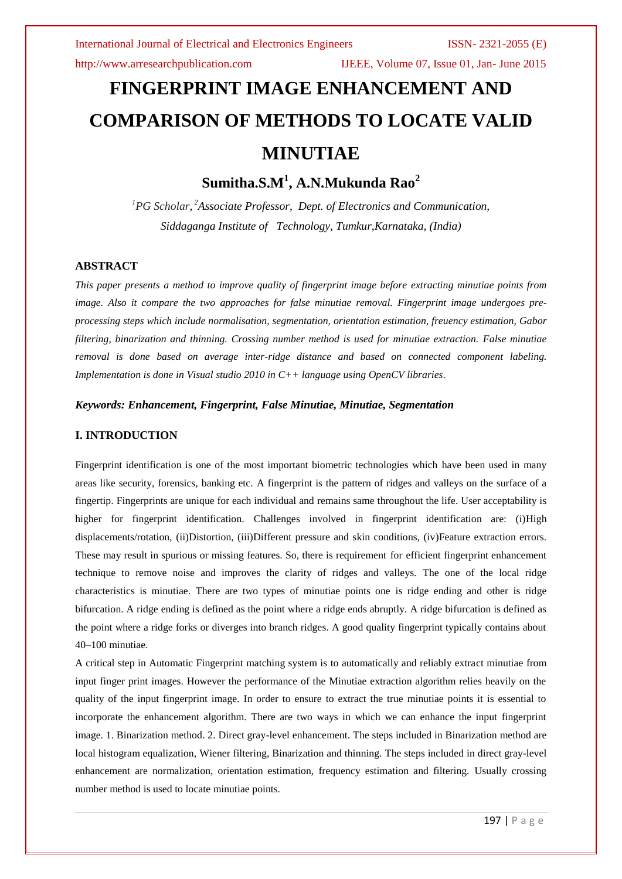http://www.arresearchpublication.com IJEEE, Volume 07, Issue 01, Jan- June 2015

# **FINGERPRINT IMAGE ENHANCEMENT AND COMPARISON OF METHODS TO LOCATE VALID MINUTIAE**

**Sumitha.S.M<sup>1</sup> , A.N.Mukunda Rao<sup>2</sup>**

*<sup>1</sup>PG Scholar, <sup>2</sup>Associate Professor, Dept. of Electronics and Communication, Siddaganga Institute of Technology, Tumkur,Karnataka, (India)* 

# **ABSTRACT**

*This paper presents a method to improve quality of fingerprint image before extracting minutiae points from image. Also it compare the two approaches for false minutiae removal. Fingerprint image undergoes preprocessing steps which include normalisation, segmentation, orientation estimation, freuency estimation, Gabor filtering, binarization and thinning. Crossing number method is used for minutiae extraction. False minutiae removal is done based on average inter-ridge distance and based on connected component labeling. Implementation is done in Visual studio 2010 in C++ language using OpenCV libraries.*

# *Keywords: Enhancement, Fingerprint, False Minutiae, Minutiae, Segmentation*

# **I. INTRODUCTION**

Fingerprint identification is one of the most important biometric technologies which have been used in many areas like security, forensics, banking etc. A fingerprint is the pattern of ridges and valleys on the surface of a fingertip. Fingerprints are unique for each individual and remains same throughout the life. User acceptability is higher for fingerprint identification. Challenges involved in fingerprint identification are: (i)High displacements/rotation, (ii)Distortion, (iii)Different pressure and skin conditions, (iv)Feature extraction errors. These may result in spurious or missing features. So, there is requirement for efficient fingerprint enhancement technique to remove noise and improves the clarity of ridges and valleys. The one of the local ridge characteristics is minutiae. There are two types of minutiae points one is ridge ending and other is ridge bifurcation. A ridge ending is defined as the point where a ridge ends abruptly. A ridge bifurcation is defined as the point where a ridge forks or diverges into branch ridges. A good quality fingerprint typically contains about 40–100 minutiae.

A critical step in Automatic Fingerprint matching system is to automatically and reliably extract minutiae from input finger print images. However the performance of the Minutiae extraction algorithm relies heavily on the quality of the input fingerprint image. In order to ensure to extract the true minutiae points it is essential to incorporate the enhancement algorithm. There are two ways in which we can enhance the input fingerprint image. 1. Binarization method. 2. Direct gray-level enhancement. The steps included in Binarization method are local histogram equalization, Wiener filtering, Binarization and thinning. The steps included in direct gray-level enhancement are normalization, orientation estimation, frequency estimation and filtering. Usually crossing number method is used to locate minutiae points.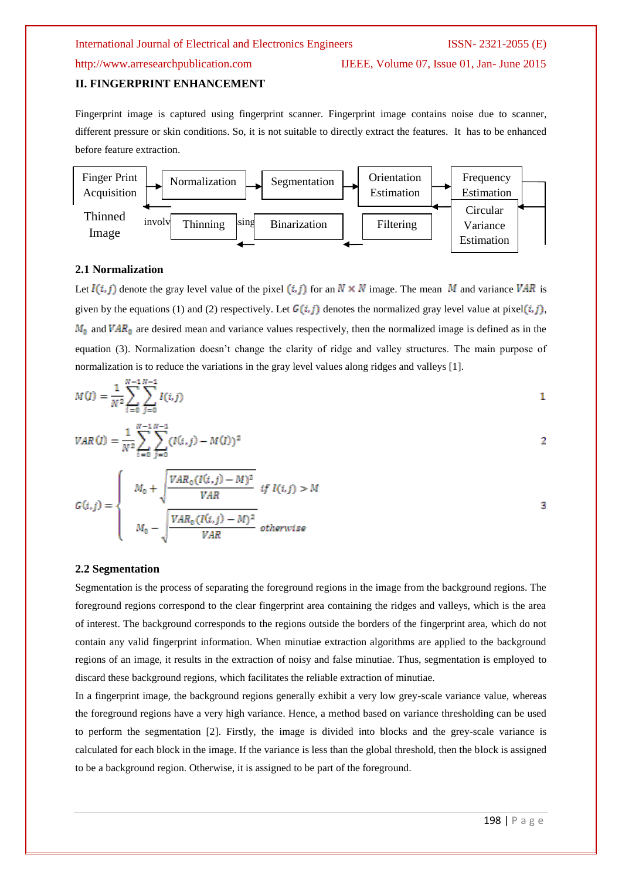http://www.arresearchpublication.com IJEEE, Volume 07, Issue 01, Jan- June 2015

# **II. FINGERPRINT ENHANCEMENT**

Fingerprint image is captured using fingerprint scanner. Fingerprint image contains noise due to scanner, different pressure or skin conditions. So, it is not suitable to directly extract the features. It has to be enhanced before feature extraction.



### **2.1 Normalization**

Let  $I(i, j)$  denote the gray level value of the pixel  $(i, j)$  for an  $N \times N$  image. The mean M and variance VAR is given by the equations (1) and (2) respectively. Let  $G(i, j)$  denotes the normalized gray level value at pixel  $(i, j)$ ,  $M_0$  and  $VAR_0$  are desired mean and variance values respectively, then the normalized image is defined as in the equation (3). Normalization doesn"t change the clarity of ridge and valley structures. The main purpose of normalization is to reduce the variations in the gray level values along ridges and valleys [1].

$$
M(I) = \frac{1}{N^2} \sum_{i=0}^{N-1} \sum_{j=0}^{N-1} I(i,j)
$$

$$
VAR(I) = \frac{1}{N^2} \sum_{i=0}^{N-1} \sum_{j=0}^{N-1} (I(i,j) - M(I))^2
$$

$$
G(i,j) = \begin{cases} M_0 + \sqrt{\frac{VAR_0(I(i,j) - M)^2}{VAR}} & if I(i,j) > M \\ M_0 - \sqrt{\frac{VAR_0(I(i,j) - M)^2}{VAR}} & otherwise \end{cases}
$$
3

### **2.2 Segmentation**

Segmentation is the process of separating the foreground regions in the image from the background regions. The foreground regions correspond to the clear fingerprint area containing the ridges and valleys, which is the area of interest. The background corresponds to the regions outside the borders of the fingerprint area, which do not contain any valid fingerprint information. When minutiae extraction algorithms are applied to the background regions of an image, it results in the extraction of noisy and false minutiae. Thus, segmentation is employed to discard these background regions, which facilitates the reliable extraction of minutiae.

In a fingerprint image, the background regions generally exhibit a very low grey-scale variance value, whereas the foreground regions have a very high variance. Hence, a method based on variance thresholding can be used to perform the segmentation [2]. Firstly, the image is divided into blocks and the grey-scale variance is calculated for each block in the image. If the variance is less than the global threshold, then the block is assigned to be a background region. Otherwise, it is assigned to be part of the foreground.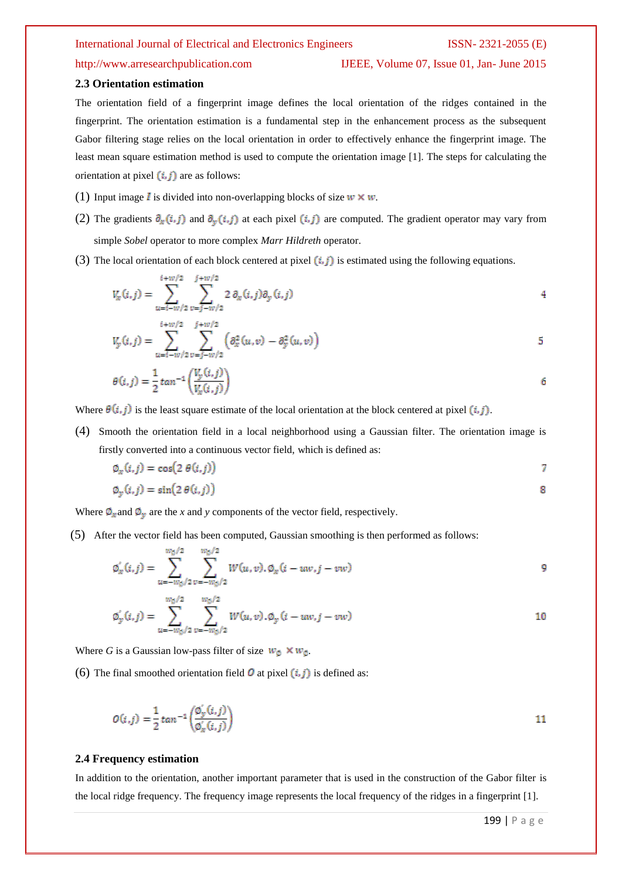# http://www.arresearchpublication.com IJEEE, Volume 07, Issue 01, Jan- June 2015

#### **2.3 Orientation estimation**

The orientation field of a fingerprint image defines the local orientation of the ridges contained in the fingerprint. The orientation estimation is a fundamental step in the enhancement process as the subsequent Gabor filtering stage relies on the local orientation in order to effectively enhance the fingerprint image. The least mean square estimation method is used to compute the orientation image [1]. The steps for calculating the orientation at pixel  $(i, j)$  are as follows:

- (1) Input image *I* is divided into non-overlapping blocks of size  $w \times w$ .
- (2) The gradients  $\partial_x(i,j)$  and  $\partial_y(i,j)$  at each pixel  $(i,j)$  are computed. The gradient operator may vary from simple *Sobel* operator to more complex *Marr Hildreth* operator.
- (3) The local orientation of each block centered at pixel  $(i, j)$  is estimated using the following equations.

$$
V_x(i,j) = \sum_{u=i-w/2}^{i+w/2} \sum_{v=j-w/2}^{j+w/2} 2 \partial_x(i,j) \partial_y(i,j)
$$

$$
V_{y}(i,j) = \sum_{u=1-W/2}^{i+w/2} \sum_{v=j-w/2}^{j+w/2} \left( \partial_x^2(u,v) - \partial_y^2(u,v) \right)
$$
5

$$
\theta(i,j) = \frac{1}{2} \tan^{-1} \left( \frac{V_y(i,j)}{V_x(i,j)} \right) \tag{6}
$$

Where  $\theta(i, j)$  is the least square estimate of the local orientation at the block centered at pixel  $(i, j)$ .

(4) Smooth the orientation field in a local neighborhood using a Gaussian filter. The orientation image is firstly converted into a continuous vector field, which is defined as:

 $\varphi_x(i,j) = \cos(2 \theta(i,j))$ 7

$$
\varphi_{y}(i,j) = \sin(2\theta(i,j))
$$

Where  $\Phi_x$  and  $\Phi_y$  are the *x* and *y* components of the vector field, respectively.

(5) After the vector field has been computed, Gaussian smoothing is then performed as follows:

$$
\varphi'_x(i,j) = \sum_{u=-w_0/2}^{w_0/2} \sum_{v=-w_0/2}^{w_0/2} W(u,v), \varphi_x(i - uw, j - vw)
$$

$$
\varphi_{y}'(i,j) = \sum_{u=-w_{\phi}/2}^{w_{\phi}/2} \sum_{v=-w_{\phi}/2}^{w_{\phi}/2} W(u,v) \cdot \varphi_{y}(i - uw, j - vw)
$$

Where *G* is a Gaussian low-pass filter of size  $w_0 \times w_0$ .

(6) The final smoothed orientation field  $\overline{O}$  at pixel  $(i, j)$  is defined as:

$$
O(i,j) = \frac{1}{2} \tan^{-1} \left( \frac{\phi_y'(i,j)}{\phi_x'(i,j)} \right)
$$

#### **2.4 Frequency estimation**

In addition to the orientation, another important parameter that is used in the construction of the Gabor filter is the local ridge frequency. The frequency image represents the local frequency of the ridges in a fingerprint [1].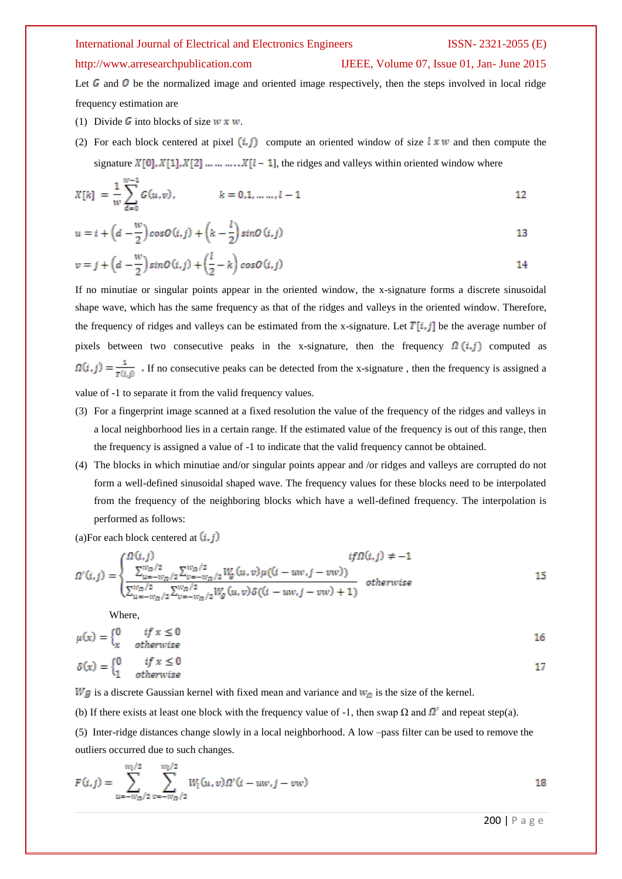#### http://www.arresearchpublication.com IJEEE, Volume 07, Issue 01, Jan- June 2015

Let G and O be the normalized image and oriented image respectively, then the steps involved in local ridge frequency estimation are

- (1) Divide G into blocks of size  $w \times w$ .
- (2) For each block centered at pixel  $(i, j)$  compute an oriented window of size  $k \times w$  and then compute the signature  $X[0], X[1], X[2] \dots \dots \dots X[l-1]$ , the ridges and valleys within oriented window where

$$
X[k] = \frac{1}{w} \sum_{d=0}^{w-1} G(u,v), \qquad k = 0, 1, \dots, l-1
$$

$$
u = i + \left(d - \frac{w}{2}\right)\cos\theta\left(i, j\right) + \left(k - \frac{l}{2}\right)\sin\theta\left(i, j\right)
$$

$$
v = j + \left(d - \frac{w}{2}\right)\sin\theta(i,j) + \left(\frac{l}{2} - k\right)\cos\theta(i,j)
$$

If no minutiae or singular points appear in the oriented window, the x-signature forms a discrete sinusoidal shape wave, which has the same frequency as that of the ridges and valleys in the oriented window. Therefore, the frequency of ridges and valleys can be estimated from the x-signature. Let  $T[i, j]$  be the average number of pixels between two consecutive peaks in the x-signature, then the frequency  $\Omega(i,j)$  computed as  $\Omega(i,j) = \frac{1}{\tau(i,j)}$ . If no consecutive peaks can be detected from the x-signature, then the frequency is assigned a value of -1 to separate it from the valid frequency values.

- (3) For a fingerprint image scanned at a fixed resolution the value of the frequency of the ridges and valleys in a local neighborhood lies in a certain range. If the estimated value of the frequency is out of this range, then the frequency is assigned a value of -1 to indicate that the valid frequency cannot be obtained.
- (4) The blocks in which minutiae and/or singular points appear and /or ridges and valleys are corrupted do not form a well-defined sinusoidal shaped wave. The frequency values for these blocks need to be interpolated from the frequency of the neighboring blocks which have a well-defined frequency. The interpolation is performed as follows:

(a)For each block centered at  $(i, j)$ 

$$
\Omega'(i,j) = \begin{cases}\n\Omega(i,j) & if \Omega(i,j) \neq -1 \\
\frac{\sum_{u=-w_{\Omega}/2}^{w_{\Omega}/2} \sum_{v=-w_{\Omega}/2}^{w_{\Omega}/2} W_g(u,v) \mu((i - uw, j - vw))}{\sum_{u=-w_{\Omega}/2}^{w_{\Omega}/2} \sum_{v=-w_{\Omega}/2}^{w_{\Omega}/2} W_g(u,v) \delta((i - uw, j - vw) + 1)} & otherwise\n\end{cases}
$$
\n15

Where,

$$
\mu(x) = \begin{cases}\n0 & if x \le 0 \\
x & otherwise\n\end{cases}
$$
\n
$$
\delta(x) = \begin{cases}\n0 & if x \le 0 \\
1 & otherwise\n\end{cases}
$$

 $Wg$  is a discrete Gaussian kernel with fixed mean and variance and  $W_g$  is the size of the kernel.

(b) If there exists at least one block with the frequency value of -1, then swap  $\Omega$  and  $\Omega'$  and repeat step(a).

(5) Inter-ridge distances change slowly in a local neighborhood. A low –pass filter can be used to remove the outliers occurred due to such changes.

$$
F(i,j) = \sum_{u=-w_D/2}^{w_I/2} \sum_{v=-w_D/2}^{w_I/2} W_l(u,v) \Omega'(i - uw, j - vw)
$$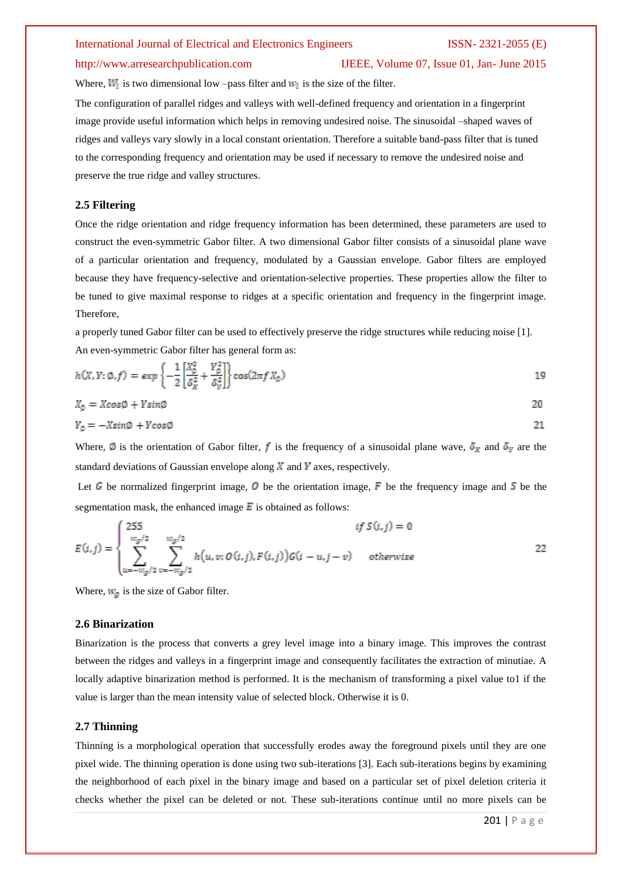#### http://www.arresearchpublication.com IJEEE, Volume 07, Issue 01, Jan- June 2015

Where,  $W_1$  is two dimensional low –pass filter and  $W_1$  is the size of the filter.

The configuration of parallel ridges and valleys with well-defined frequency and orientation in a fingerprint image provide useful information which helps in removing undesired noise. The sinusoidal –shaped waves of ridges and valleys vary slowly in a local constant orientation. Therefore a suitable band-pass filter that is tuned to the corresponding frequency and orientation may be used if necessary to remove the undesired noise and preserve the true ridge and valley structures.

# **2.5 Filtering**

Once the ridge orientation and ridge frequency information has been determined, these parameters are used to construct the even-symmetric Gabor filter. A two dimensional Gabor filter consists of a sinusoidal plane wave of a particular orientation and frequency, modulated by a Gaussian envelope. Gabor filters are employed because they have frequency-selective and orientation-selective properties. These properties allow the filter to be tuned to give maximal response to ridges at a specific orientation and frequency in the fingerprint image. Therefore,

a properly tuned Gabor filter can be used to effectively preserve the ridge structures while reducing noise [1]. An even-symmetric Gabor filter has general form as:

$$
h(X, Y; \emptyset, f) = exp\left\{-\frac{1}{2} \left[ \frac{X_0^2}{\delta_X^2} + \frac{Y_0^2}{\delta_Y^2} \right] \right\} cos(2\pi f X_0)
$$

$$
X_{\emptyset} = Xcos\emptyset + Ysin\emptyset \tag{20}
$$

$$
Y_{\emptyset} = -X \sin \phi + Y \cos \phi
$$

Where,  $\emptyset$  is the orientation of Gabor filter, f is the frequency of a sinusoidal plane wave,  $\delta_X$  and  $\delta_Y$  are the standard deviations of Gaussian envelope along  $\overline{X}$  and  $\overline{Y}$  axes, respectively.

Let G be normalized fingerprint image, O be the orientation image, F be the frequency image and S be the segmentation mask, the enhanced image  $\vec{E}$  is obtained as follows:

$$
E(i,j) = \begin{cases} 255 & if S(i,j) = 0\\ \sum_{u=-w_g/2}^{w_g/2} \sum_{v=-w_g/2}^{w_g/2} h(u,v; O(i,j), F(i,j)) G(i-u,j-v) & otherwise \end{cases}
$$
 22

Where,  $w_{\sigma}$  is the size of Gabor filter.

### **2.6 Binarization**

Binarization is the process that converts a grey level image into a binary image. This improves the contrast between the ridges and valleys in a fingerprint image and consequently facilitates the extraction of minutiae. A locally adaptive binarization method is performed. It is the mechanism of transforming a pixel value to1 if the value is larger than the mean intensity value of selected block. Otherwise it is 0.

### **2.7 Thinning**

Thinning is a morphological operation that successfully erodes away the foreground pixels until they are one pixel wide. The thinning operation is done using two sub-iterations [3]. Each sub-iterations begins by examining the neighborhood of each pixel in the binary image and based on a particular set of pixel deletion criteria it checks whether the pixel can be deleted or not. These sub-iterations continue until no more pixels can be

21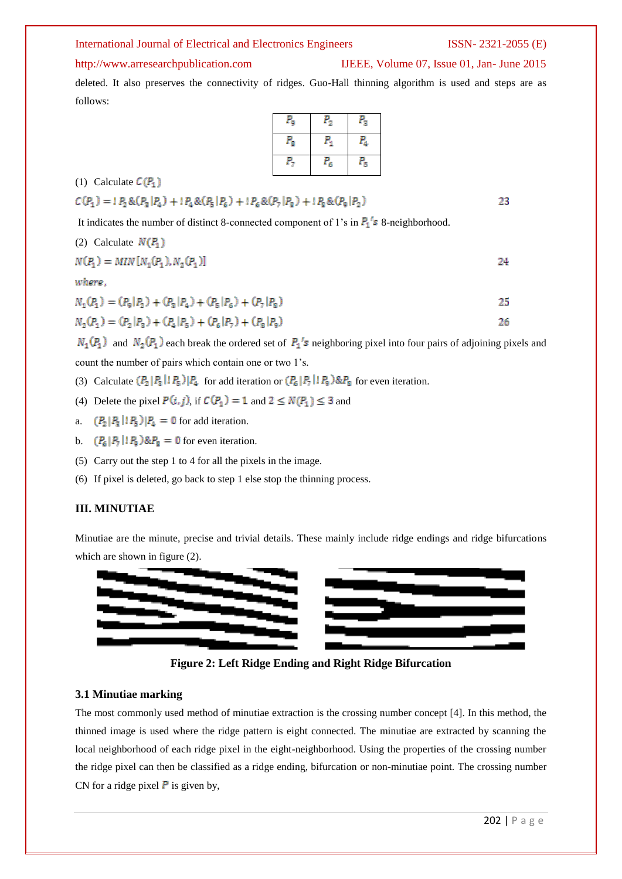### http://www.arresearchpublication.com IJEEE, Volume 07, Issue 01, Jan- June 2015

deleted. It also preserves the connectivity of ridges. Guo-Hall thinning algorithm is used and steps are as follows:

| $P_{\rm g}$        | $P_{2}$ | $P_{3}$     |
|--------------------|---------|-------------|
| $P_{\tt S}$        | Р.      | $P_{\rm A}$ |
| $P_{\overline{z}}$ | $P_6$   | $P_{5}$     |

(1) Calculate  $C(P_1)$ 

$$
C(P_1) = P_2 \& (P_3 | P_4) + P_4 \& (P_5 | P_6) + P_6 \& (P_7 | P_8) + P_8 \& (P_9 | P_2)
$$

It indicates the number of distinct 8-connected component of 1's in  $P_1$ 's 8-neighborhood.

(2) Calculate 
$$
N(P_1)
$$
  
\n $N(P_1) = MIN[N_1(P_1), N_2(P_1)]$ 

where.

$$
N_1(P_1) = (P_9|P_2) + (P_3|P_4) + (P_5|P_6) + (P_7|P_8)
$$

$$
N_2(P_1) = (P_2 | P_3) + (P_4 | P_5) + (P_6 | P_7) + (P_8 | P_9)
$$

 $N_1(P_1)$  and  $N_2(P_1)$  each break the ordered set of  $P_1$ 's neighboring pixel into four pairs of adjoining pixels and count the number of pairs which contain one or two 1"s.

- (3) Calculate  $(P_2 | P_3 | P_4 | F_5)$  for add iteration or  $(P_6 | P_7 | P_9)$  &  $P_8$  for even iteration.
- (4) Delete the pixel  $P(i, j)$ , if  $C(P_1) = 1$  and  $2 \le N(P_1) \le 3$  and
- a.  $(P_2 | P_3 | P_4 | P_5) | P_4 = 0$  for add iteration.
- b.  $(P_6 | P_7 | P_9) \& P_8 = 0$  for even iteration.
- (5) Carry out the step 1 to 4 for all the pixels in the image.
- (6) If pixel is deleted, go back to step 1 else stop the thinning process.

# **III. MINUTIAE**

Minutiae are the minute, precise and trivial details. These mainly include ridge endings and ridge bifurcations which are shown in figure  $(2)$ .



**Figure 2: Left Ridge Ending and Right Ridge Bifurcation**

### **3.1 Minutiae marking**

The most commonly used method of minutiae extraction is the crossing number concept [4]. In this method, the thinned image is used where the ridge pattern is eight connected. The minutiae are extracted by scanning the local neighborhood of each ridge pixel in the eight-neighborhood. Using the properties of the crossing number the ridge pixel can then be classified as a ridge ending, bifurcation or non-minutiae point. The crossing number CN for a ridge pixel  $\bf{P}$  is given by,

23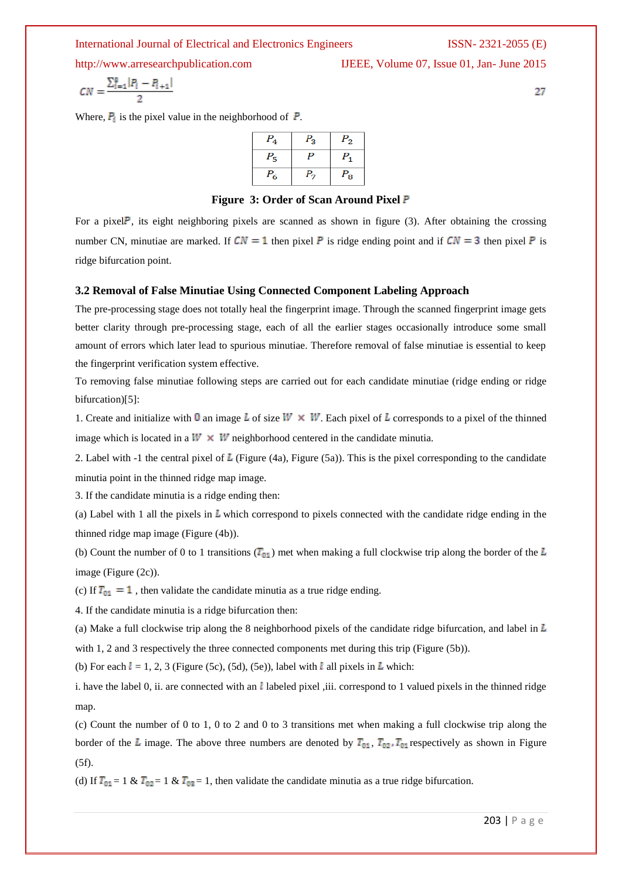http://www.arresearchpublication.com IJEEE, Volume 07, Issue 01, Jan- June 2015

$$
\mathcal{L} = \mathcal{L} \mathcal{L}
$$

 $CN = \frac{\sum_{i=1}^{8} |P_i - P_{i+1}|}{2}$ 

Where,  $P_i$  is the pixel value in the neighborhood of  $P$ .

| $P_4$   | $P_{3}$ | $P_2$   |
|---------|---------|---------|
| $P_{5}$ |         |         |
| $P_6$   | Р.,     | $P_{8}$ |

**Figure 3: Order of Scan Around Pixel** 

For a pixel  $\mathsf{P}$ , its eight neighboring pixels are scanned as shown in figure (3). After obtaining the crossing number CN, minutiae are marked. If  $CN = 1$  then pixel P is ridge ending point and if  $CN = 3$  then pixel P is ridge bifurcation point.

### **3.2 Removal of False Minutiae Using Connected Component Labeling Approach**

The pre-processing stage does not totally heal the fingerprint image. Through the scanned fingerprint image gets better clarity through pre-processing stage, each of all the earlier stages occasionally introduce some small amount of errors which later lead to spurious minutiae. Therefore removal of false minutiae is essential to keep the fingerprint verification system effective.

To removing false minutiae following steps are carried out for each candidate minutiae (ridge ending or ridge bifurcation)[5]:

1. Create and initialize with 0 an image L of size  $W \times W$ . Each pixel of L corresponds to a pixel of the thinned image which is located in a  $W \times W$  neighborhood centered in the candidate minutia.

2. Label with -1 the central pixel of  $\overline{L}$  (Figure (4a), Figure (5a)). This is the pixel corresponding to the candidate minutia point in the thinned ridge map image.

3. If the candidate minutia is a ridge ending then:

(a) Label with 1 all the pixels in  $\bar{L}$  which correspond to pixels connected with the candidate ridge ending in the thinned ridge map image (Figure (4b)).

(b) Count the number of 0 to 1 transitions  $(T_{01})$  met when making a full clockwise trip along the border of the L image (Figure (2c)).

(c) If  $T_{01} = 1$ , then validate the candidate minutia as a true ridge ending.

4. If the candidate minutia is a ridge bifurcation then:

(a) Make a full clockwise trip along the 8 neighborhood pixels of the candidate ridge bifurcation, and label in  $\bar{L}$ 

with 1, 2 and 3 respectively the three connected components met during this trip (Figure (5b)).

(b) For each  $l = 1, 2, 3$  (Figure (5c), (5d), (5e)), label with  $l$  all pixels in  $\overline{L}$  which:

i. have the label 0, ii. are connected with an  $l$  labeled pixel ,iii. correspond to 1 valued pixels in the thinned ridge map.

(c) Count the number of 0 to 1, 0 to 2 and 0 to 3 transitions met when making a full clockwise trip along the border of the L image. The above three numbers are denoted by  $T_{01}$ ,  $T_{02}$ ,  $T_{01}$  respectively as shown in Figure (5f).

(d) If  $T_{01} = 1 \& T_{02} = 1 \& T_{03} = 1$ , then validate the candidate minutia as a true ridge bifurcation.

27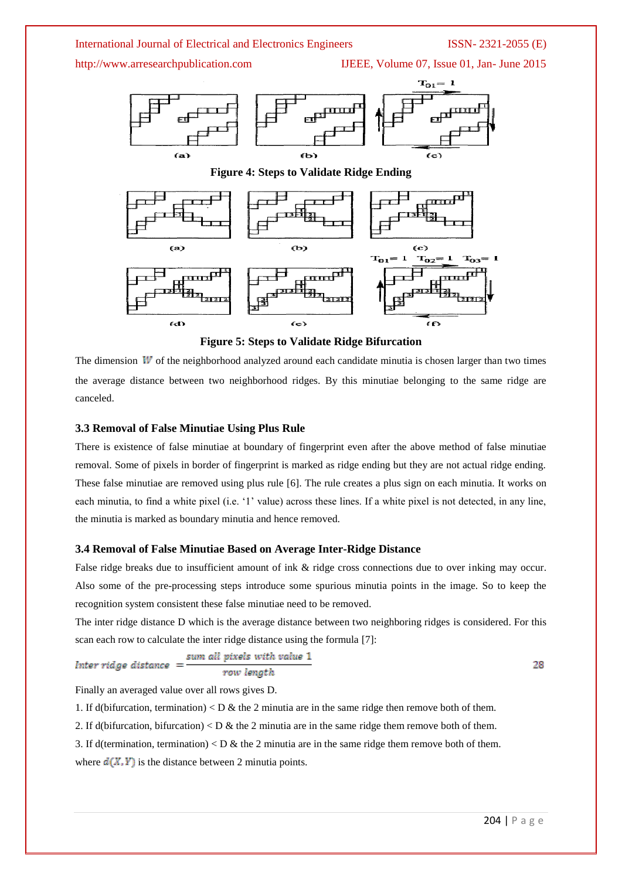

The dimension  $W$  of the neighborhood analyzed around each candidate minutia is chosen larger than two times the average distance between two neighborhood ridges. By this minutiae belonging to the same ridge are canceled.

### **3.3 Removal of False Minutiae Using Plus Rule**

There is existence of false minutiae at boundary of fingerprint even after the above method of false minutiae removal. Some of pixels in border of fingerprint is marked as ridge ending but they are not actual ridge ending. These false minutiae are removed using plus rule [6]. The rule creates a plus sign on each minutia. It works on each minutia, to find a white pixel (i.e. '1' value) across these lines. If a white pixel is not detected, in any line, the minutia is marked as boundary minutia and hence removed.

### **3.4 Removal of False Minutiae Based on Average Inter-Ridge Distance**

False ridge breaks due to insufficient amount of ink & ridge cross connections due to over inking may occur. Also some of the pre-processing steps introduce some spurious minutia points in the image. So to keep the recognition system consistent these false minutiae need to be removed.

The inter ridge distance D which is the average distance between two neighboring ridges is considered. For this scan each row to calculate the inter ridge distance using the formula [7]:

$$
Inter\ ridge\ distance = \frac{sum\ all\ pixels\ with\ value\ 1}{row\ length}
$$

28

Finally an averaged value over all rows gives D.

1. If d(bifurcation, termination)  $\langle D \& \text{the 2 min} \text{u} \rangle$  are in the same ridge then remove both of them.

2. If d(bifurcation, bifurcation)  $\langle D \& \text{the 2 min} \rangle$  are in the same ridge them remove both of them.

3. If d(termination, termination)  $\langle D \&$  the 2 minutia are in the same ridge them remove both of them. where  $d(X, Y)$  is the distance between 2 minutia points.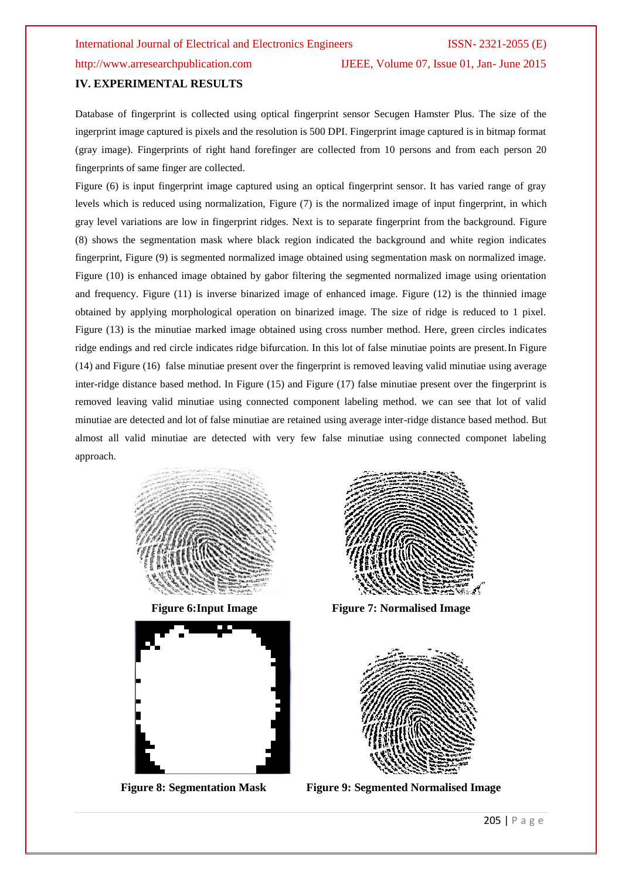http://www.arresearchpublication.com IJEEE, Volume 07, Issue 01, Jan- June 2015

### **IV. EXPERIMENTAL RESULTS**

Database of fingerprint is collected using optical fingerprint sensor Secugen Hamster Plus. The size of the ingerprint image captured is pixels and the resolution is 500 DPI. Fingerprint image captured is in bitmap format (gray image). Fingerprints of right hand forefinger are collected from 10 persons and from each person 20 fingerprints of same finger are collected.

Figure (6) is input fingerprint image captured using an optical fingerprint sensor. It has varied range of gray levels which is reduced using normalization, Figure (7) is the normalized image of input fingerprint, in which gray level variations are low in fingerprint ridges. Next is to separate fingerprint from the background. Figure (8) shows the segmentation mask where black region indicated the background and white region indicates fingerprint, Figure (9) is segmented normalized image obtained using segmentation mask on normalized image. Figure (10) is enhanced image obtained by gabor filtering the segmented normalized image using orientation and frequency. Figure (11) is inverse binarized image of enhanced image. Figure (12) is the thinnied image obtained by applying morphological operation on binarized image. The size of ridge is reduced to 1 pixel. Figure (13) is the minutiae marked image obtained using cross number method. Here, green circles indicates ridge endings and red circle indicates ridge bifurcation. In this lot of false minutiae points are present.In Figure (14) and Figure (16) false minutiae present over the fingerprint is removed leaving valid minutiae using average inter-ridge distance based method. In Figure (15) and Figure (17) false minutiae present over the fingerprint is removed leaving valid minutiae using connected component labeling method. we can see that lot of valid minutiae are detected and lot of false minutiae are retained using average inter-ridge distance based method. But almost all valid minutiae are detected with very few false minutiae using connected componet labeling approach.







Figure 6:Input Image Figure 7: Normalised Image



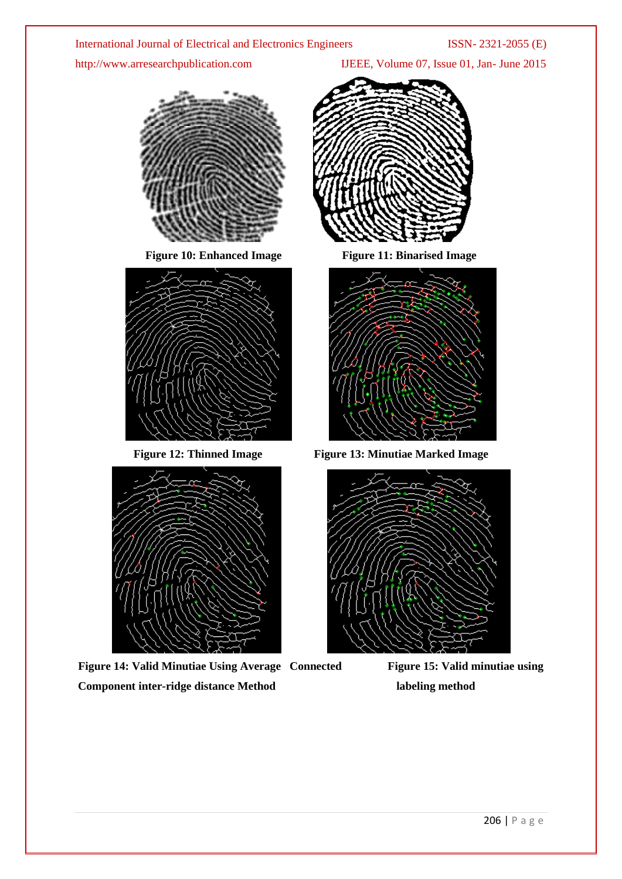http://www.arresearchpublication.com IJEEE, Volume 07, Issue 01, Jan- June 2015



Figure 10: Enhanced Image Figure 11: Binarised Image





Figure 14: Valid Minutiae Using Average Connected Figure 15: Valid minutiae using **Component inter-ridge distance Method labeling method labeling method** 





**Figure 12: Thinned Image Figure 13: Minutiae Marked Image**

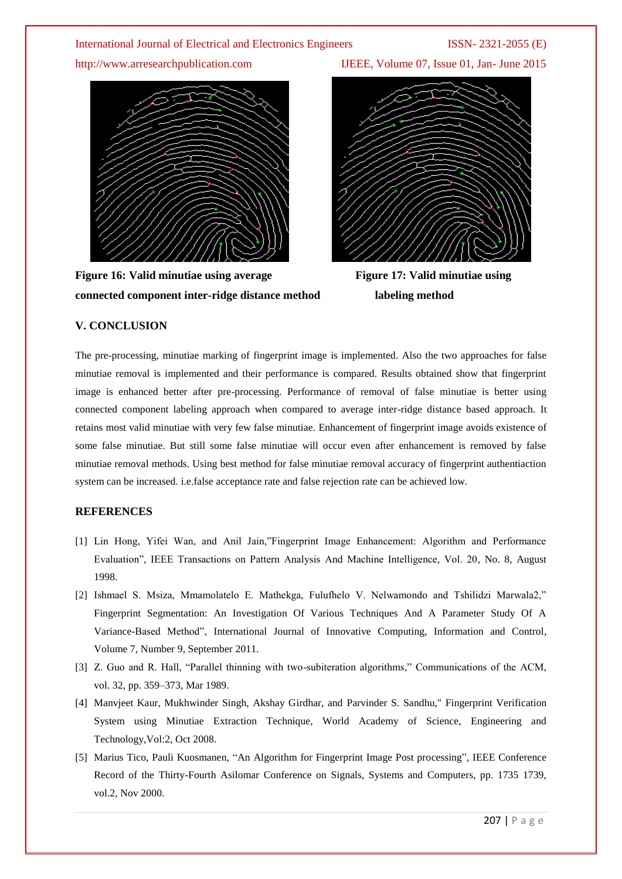

**Figure 16: Valid minutiae using average Figure 17: Valid minutiae using connected component inter-ridge distance method labeling method**

http://www.arresearchpublication.com IJEEE, Volume 07, Issue 01, Jan- June 2015



# **V. CONCLUSION**

The pre-processing, minutiae marking of fingerprint image is implemented. Also the two approaches for false minutiae removal is implemented and their performance is compared. Results obtained show that fingerprint image is enhanced better after pre-processing. Performance of removal of false minutiae is better using connected component labeling approach when compared to average inter-ridge distance based approach. It retains most valid minutiae with very few false minutiae. Enhancement of fingerprint image avoids existence of some false minutiae. But still some false minutiae will occur even after enhancement is removed by false minutiae removal methods. Using best method for false minutiae removal accuracy of fingerprint authentiaction system can be increased. i.e.false acceptance rate and false rejection rate can be achieved low.

# **REFERENCES**

- [1] Lin Hong, Yifei Wan, and Anil Jain,"Fingerprint Image Enhancement: Algorithm and Performance Evaluation", IEEE Transactions on Pattern Analysis And Machine Intelligence, Vol. 20, No. 8, August 1998.
- [2] Ishmael S. Msiza, Mmamolatelo E. Mathekga, Fulufhelo V. Nelwamondo and Tshilidzi Marwala2," Fingerprint Segmentation: An Investigation Of Various Techniques And A Parameter Study Of A Variance-Based Method", International Journal of Innovative Computing, Information and Control, Volume 7, Number 9, September 2011.
- [3] Z. Guo and R. Hall, "Parallel thinning with two-subiteration algorithms," Communications of the ACM, vol. 32, pp. 359–373, Mar 1989.
- [4] Manvjeet Kaur, Mukhwinder Singh, Akshay Girdhar, and Parvinder S. Sandhu," Fingerprint Verification System using Minutiae Extraction Technique, World Academy of Science, Engineering and Technology,Vol:2, Oct 2008.
- [5] Marius Tico, Pauli Kuosmanen, "An Algorithm for Fingerprint Image Post processing", IEEE Conference Record of the Thirty-Fourth Asilomar Conference on Signals, Systems and Computers, pp. 1735 1739, vol.2, Nov 2000.